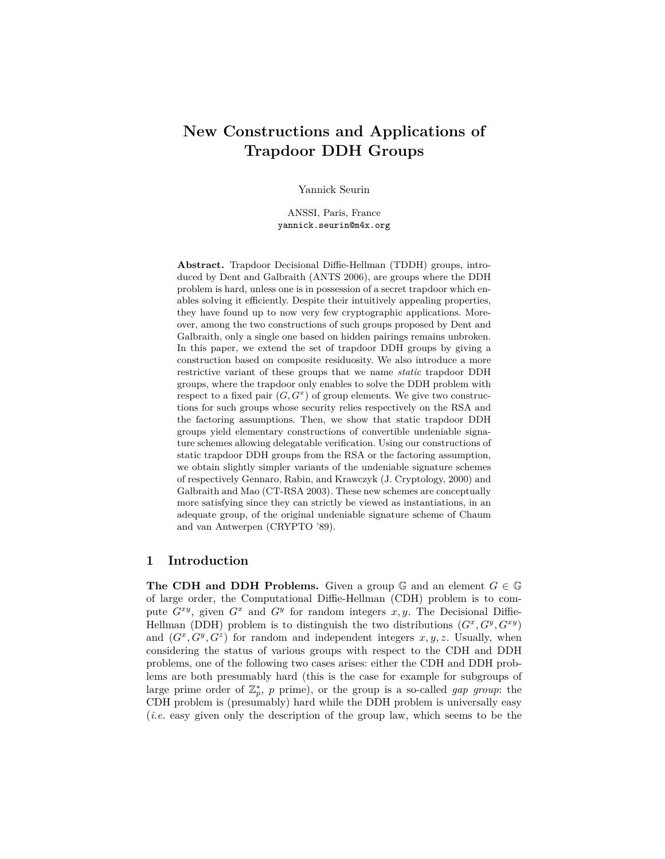# **New Constructions and Applications of Trapdoor DDH Groups**

Yannick Seurin

ANSSI, Paris, France yannick.seurin@m4x.org

**Abstract.** Trapdoor Decisional Diffie-Hellman (TDDH) groups, introduced by Dent and Galbraith (ANTS 2006), are groups where the DDH problem is hard, unless one is in possession of a secret trapdoor which enables solving it efficiently. Despite their intuitively appealing properties, they have found up to now very few cryptographic applications. Moreover, among the two constructions of such groups proposed by Dent and Galbraith, only a single one based on hidden pairings remains unbroken. In this paper, we extend the set of trapdoor DDH groups by giving a construction based on composite residuosity. We also introduce a more restrictive variant of these groups that we name *static* trapdoor DDH groups, where the trapdoor only enables to solve the DDH problem with respect to a fixed pair  $(G, G^x)$  of group elements. We give two constructions for such groups whose security relies respectively on the RSA and the factoring assumptions. Then, we show that static trapdoor DDH groups yield elementary constructions of convertible undeniable signature schemes allowing delegatable verification. Using our constructions of static trapdoor DDH groups from the RSA or the factoring assumption, we obtain slightly simpler variants of the undeniable signature schemes of respectively Gennaro, Rabin, and Krawczyk (J. Cryptology, 2000) and Galbraith and Mao (CT-RSA 2003). These new schemes are conceptually more satisfying since they can strictly be viewed as instantiations, in an adequate group, of the original undeniable signature scheme of Chaum and van Antwerpen (CRYPTO '89).

# **1 Introduction**

**The CDH and DDH Problems.** Given a group  $\mathbb{G}$  and an element  $G \in \mathbb{G}$ of large order, the Computational Diffie-Hellman (CDH) problem is to compute  $G^{xy}$ , given  $G^x$  and  $G^y$  for random integers  $x, y$ . The Decisional Diffie-Hellman (DDH) problem is to distinguish the two distributions  $(G^x, G^y, G^{xy})$ and  $(G^x, G^y, G^z)$  for random and independent integers  $x, y, z$ . Usually, when considering the status of various groups with respect to the CDH and DDH problems, one of the following two cases arises: either the CDH and DDH problems are both presumably hard (this is the case for example for subgroups of large prime order of  $\mathbb{Z}_p^*$ , *p* prime), or the group is a so-called *gap group*: the CDH problem is (presumably) hard while the DDH problem is universally easy (*i.e.* easy given only the description of the group law, which seems to be the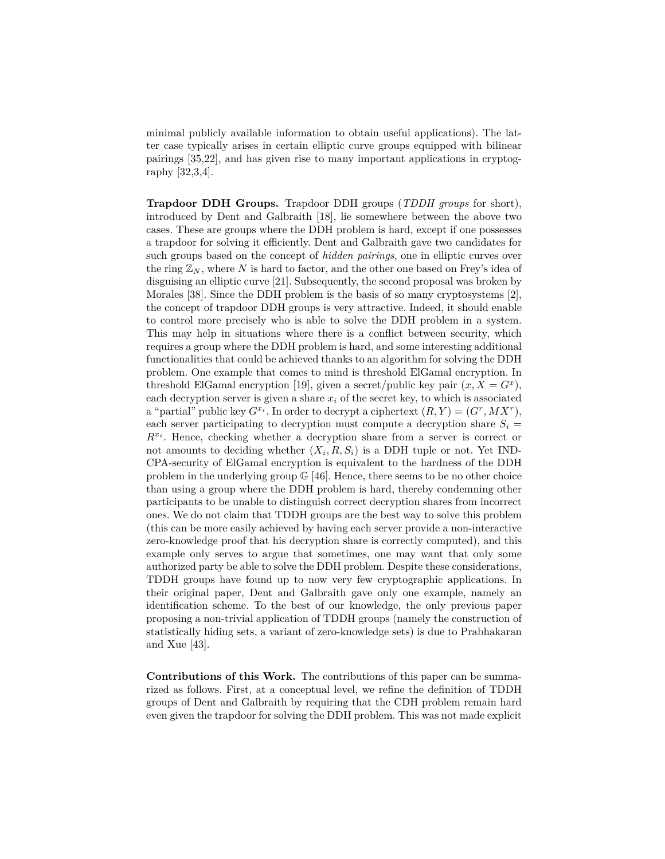minimal publicly available information to obtain useful applications). The latter case typically arises in certain elliptic curve groups equipped with bilinear pairings [35,22], and has given rise to many important applications in cryptography [32,3,4].

**Trapdoor DDH Groups.** Trapdoor DDH groups (*TDDH groups* for short), introduced by Dent and Galbraith [18], lie somewhere between the above two cases. These are groups where the DDH problem is hard, except if one possesses a trapdoor for solving it efficiently. Dent and Galbraith gave two candidates for such groups based on the concept of *hidden pairings*, one in elliptic curves over the ring  $\mathbb{Z}_N$ , where N is hard to factor, and the other one based on Frey's idea of disguising an elliptic curve [21]. Subsequently, the second proposal was broken by Morales [38]. Since the DDH problem is the basis of so many cryptosystems [2], the concept of trapdoor DDH groups is very attractive. Indeed, it should enable to control more precisely who is able to solve the DDH problem in a system. This may help in situations where there is a conflict between security, which requires a group where the DDH problem is hard, and some interesting additional functionalities that could be achieved thanks to an algorithm for solving the DDH problem. One example that comes to mind is threshold ElGamal encryption. In threshold ElGamal encryption [19], given a secret/public key pair  $(x, X = G^x)$ , each decryption server is given a share  $x_i$  of the secret key, to which is associated a "partial" public key  $G^{x_i}$ . In order to decrypt a ciphertext  $(R, Y) = (G^r, MX^r)$ , each server participating to decryption must compute a decryption share  $S_i$  $R^{x_i}$ . Hence, checking whether a decryption share from a server is correct or not amounts to deciding whether  $(X_i, R, S_i)$  is a DDH tuple or not. Yet IND-CPA-security of ElGamal encryption is equivalent to the hardness of the DDH problem in the underlying group G [46]. Hence, there seems to be no other choice than using a group where the DDH problem is hard, thereby condemning other participants to be unable to distinguish correct decryption shares from incorrect ones. We do not claim that TDDH groups are the best way to solve this problem (this can be more easily achieved by having each server provide a non-interactive zero-knowledge proof that his decryption share is correctly computed), and this example only serves to argue that sometimes, one may want that only some authorized party be able to solve the DDH problem. Despite these considerations, TDDH groups have found up to now very few cryptographic applications. In their original paper, Dent and Galbraith gave only one example, namely an identification scheme. To the best of our knowledge, the only previous paper proposing a non-trivial application of TDDH groups (namely the construction of statistically hiding sets, a variant of zero-knowledge sets) is due to Prabhakaran and Xue [43].

**Contributions of this Work.** The contributions of this paper can be summarized as follows. First, at a conceptual level, we refine the definition of TDDH groups of Dent and Galbraith by requiring that the CDH problem remain hard even given the trapdoor for solving the DDH problem. This was not made explicit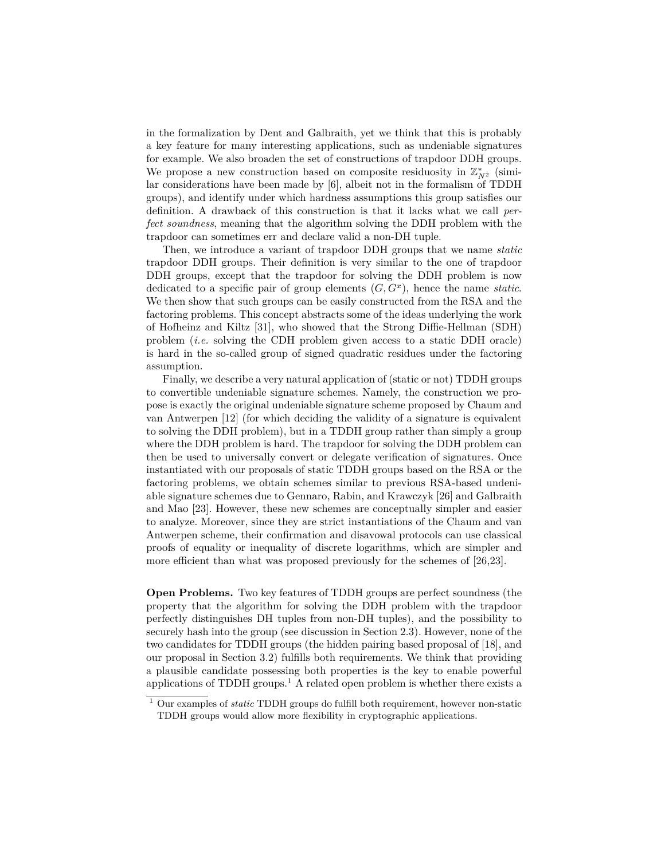in the formalization by Dent and Galbraith, yet we think that this is probably a key feature for many interesting applications, such as undeniable signatures for example. We also broaden the set of constructions of trapdoor DDH groups. We propose a new construction based on composite residuosity in  $\mathbb{Z}_{N^2}^*$  (similar considerations have been made by [6], albeit not in the formalism of TDDH groups), and identify under which hardness assumptions this group satisfies our definition. A drawback of this construction is that it lacks what we call *perfect soundness*, meaning that the algorithm solving the DDH problem with the trapdoor can sometimes err and declare valid a non-DH tuple.

Then, we introduce a variant of trapdoor DDH groups that we name *static* trapdoor DDH groups. Their definition is very similar to the one of trapdoor DDH groups, except that the trapdoor for solving the DDH problem is now dedicated to a specific pair of group elements  $(G, G<sup>x</sup>)$ , hence the name *static*. We then show that such groups can be easily constructed from the RSA and the factoring problems. This concept abstracts some of the ideas underlying the work of Hofheinz and Kiltz [31], who showed that the Strong Diffie-Hellman (SDH) problem (*i.e.* solving the CDH problem given access to a static DDH oracle) is hard in the so-called group of signed quadratic residues under the factoring assumption.

Finally, we describe a very natural application of (static or not) TDDH groups to convertible undeniable signature schemes. Namely, the construction we propose is exactly the original undeniable signature scheme proposed by Chaum and van Antwerpen [12] (for which deciding the validity of a signature is equivalent to solving the DDH problem), but in a TDDH group rather than simply a group where the DDH problem is hard. The trapdoor for solving the DDH problem can then be used to universally convert or delegate verification of signatures. Once instantiated with our proposals of static TDDH groups based on the RSA or the factoring problems, we obtain schemes similar to previous RSA-based undeniable signature schemes due to Gennaro, Rabin, and Krawczyk [26] and Galbraith and Mao [23]. However, these new schemes are conceptually simpler and easier to analyze. Moreover, since they are strict instantiations of the Chaum and van Antwerpen scheme, their confirmation and disavowal protocols can use classical proofs of equality or inequality of discrete logarithms, which are simpler and more efficient than what was proposed previously for the schemes of [26,23].

**Open Problems.** Two key features of TDDH groups are perfect soundness (the property that the algorithm for solving the DDH problem with the trapdoor perfectly distinguishes DH tuples from non-DH tuples), and the possibility to securely hash into the group (see discussion in Section 2.3). However, none of the two candidates for TDDH groups (the hidden pairing based proposal of [18], and our proposal in Section 3.2) fulfills both requirements. We think that providing a plausible candidate possessing both properties is the key to enable powerful applications of TDDH groups.<sup>1</sup> A related open problem is whether there exists a

<sup>1</sup> Our examples of *static* TDDH groups do fulfill both requirement, however non-static TDDH groups would allow more flexibility in cryptographic applications.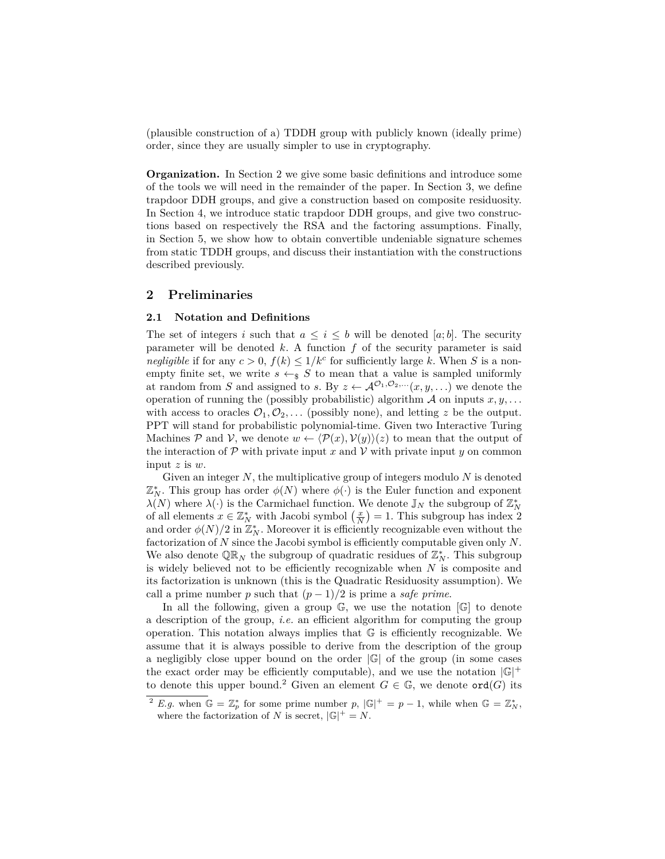(plausible construction of a) TDDH group with publicly known (ideally prime) order, since they are usually simpler to use in cryptography.

**Organization.** In Section 2 we give some basic definitions and introduce some of the tools we will need in the remainder of the paper. In Section 3, we define trapdoor DDH groups, and give a construction based on composite residuosity. In Section 4, we introduce static trapdoor DDH groups, and give two constructions based on respectively the RSA and the factoring assumptions. Finally, in Section 5, we show how to obtain convertible undeniable signature schemes from static TDDH groups, and discuss their instantiation with the constructions described previously.

### **2 Preliminaries**

#### **2.1 Notation and Definitions**

The set of integers *i* such that  $a \leq i \leq b$  will be denoted [a; b]. The security parameter will be denoted  $k$ . A function  $f$  of the security parameter is said *negligible* if for any  $c > 0$ ,  $f(k) \leq 1/k^c$  for sufficiently large k. When S is a nonempty finite set, we write  $s \leftarrow s S$  to mean that a value is sampled uniformly at random from *S* and assigned to *s*. By  $z \leftarrow \mathcal{A}^{O_1, O_2, \dots}(x, y, \dots)$  we denote the operation of running the (possibly probabilistic) algorithm  $A$  on inputs  $x, y, \ldots$ with access to oracles  $\mathcal{O}_1, \mathcal{O}_2, \ldots$  (possibly none), and letting z be the output. PPT will stand for probabilistic polynomial-time. Given two Interactive Turing Machines P and V, we denote  $w \leftarrow \langle \mathcal{P}(x), \mathcal{V}(y) \rangle (z)$  to mean that the output of the interaction of  $\mathcal P$  with private input *x* and  $\mathcal V$  with private input *y* on common input *z* is *w*.

Given an integer *N*, the multiplicative group of integers modulo *N* is denoted  $\mathbb{Z}_N^*$ . This group has order  $\phi(N)$  where  $\phi(\cdot)$  is the Euler function and exponent  $\lambda(N)$  where  $\lambda(\cdot)$  is the Carmichael function. We denote  $\mathbb{J}_N$  the subgroup of  $\mathbb{Z}_N^*$ of all elements  $x \in \mathbb{Z}_N^*$  with Jacobi symbol  $\left(\frac{x}{N}\right) = 1$ . This subgroup has index 2 and order  $\phi(N)/2$  in  $\mathbb{Z}_N^*$ . Moreover it is efficiently recognizable even without the factorization of *N* since the Jacobi symbol is efficiently computable given only *N*. We also denote  $\mathbb{QR}_N$  the subgroup of quadratic residues of  $\mathbb{Z}_N^*$ . This subgroup is widely believed not to be efficiently recognizable when *N* is composite and its factorization is unknown (this is the Quadratic Residuosity assumption). We call a prime number *p* such that  $(p-1)/2$  is prime a *safe prime*.

In all the following, given a group G, we use the notation [G] to denote a description of the group, *i.e.* an efficient algorithm for computing the group operation. This notation always implies that  $\mathbb G$  is efficiently recognizable. We assume that it is always possible to derive from the description of the group a negligibly close upper bound on the order  $|\mathbb{G}|$  of the group (in some cases the exact order may be efficiently computable), and we use the notation  $|\mathbb{G}|^+$ to denote this upper bound.<sup>2</sup> Given an element  $G \in \mathbb{G}$ , we denote  $\text{ord}(G)$  its

<sup>&</sup>lt;sup>2</sup> E.g. when  $\mathbb{G} = \mathbb{Z}_p^*$  for some prime number p,  $|\mathbb{G}|^+ = p - 1$ , while when  $\mathbb{G} = \mathbb{Z}_N^*$ , where the factorization of *N* is secret,  $|\mathbb{G}|^+ = N$ .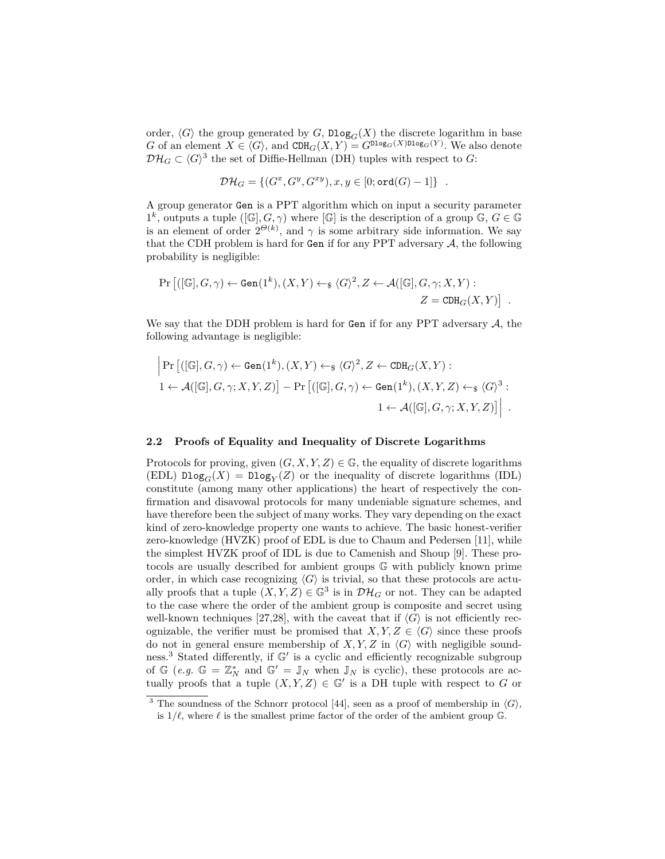order,  $\langle G \rangle$  the group generated by *G*,  $Dlog_G(X)$  the discrete logarithm in base *G* of an element  $X \in \langle G \rangle$ , and  $CDH_G(X, Y) = G^{Dlog_G(X)Dlog_G(Y)}$ . We also denote  $\mathcal{D}\mathcal{H}_G \subset \langle G \rangle^3$  the set of Diffie-Hellman (DH) tuples with respect to *G*:

$$
\mathcal{DH}_G=\{(G^x,G^y,G^{xy}),x,y\in [0;\text{ord}(G)-1]\} .
$$

A group generator Gen is a PPT algorithm which on input a security parameter 1<sup>k</sup>, outputs a tuple ([G],  $G, \gamma$ ) where [G] is the description of a group G,  $G \in \mathbb{G}$ is an element of order  $2^{\Theta(k)}$ , and  $\gamma$  is some arbitrary side information. We say that the CDH problem is hard for Gen if for any PPT adversary  $A$ , the following probability is negligible:

$$
\Pr\left[([\mathbb{G}], G, \gamma) \leftarrow \text{Gen}(1^k), (X, Y) \leftarrow_{\$} \langle G \rangle^2, Z \leftarrow \mathcal{A}([\mathbb{G}], G, \gamma; X, Y) :Z = \text{CDH}_G(X, Y)\right].
$$

We say that the DDH problem is hard for Gen if for any PPT adversary  $A$ , the following advantage is negligible:

$$
\begin{aligned} \Big|\Pr\big[([\mathbb{G}],G,\gamma)\leftarrow &\texttt{Gen}(1^k),(X,Y)\leftarrow_{\$}\langle G\rangle^2,Z\leftarrow &\texttt{CDH}_G(X,Y): \\ 1\leftarrow &\mathcal{A}([\mathbb{G}],G,\gamma;X,Y,Z)\big]-\Pr\big[([\mathbb{G}],G,\gamma)\leftarrow &\texttt{Gen}(1^k),(X,Y,Z)\leftarrow_{\$}\langle G\rangle^3: \\ &\qquad \qquad 1\leftarrow \mathcal{A}([\mathbb{G}],G,\gamma;X,Y,Z)\big]\Big|\enspace. \end{aligned}
$$

### **2.2 Proofs of Equality and Inequality of Discrete Logarithms**

Protocols for proving, given  $(G, X, Y, Z) \in \mathbb{G}$ , the equality of discrete logarithms (EDL)  $\text{Dlog}_G(X) = \text{Dlog}_Y(Z)$  or the inequality of discrete logarithms (IDL) constitute (among many other applications) the heart of respectively the confirmation and disavowal protocols for many undeniable signature schemes, and have therefore been the subject of many works. They vary depending on the exact kind of zero-knowledge property one wants to achieve. The basic honest-verifier zero-knowledge (HVZK) proof of EDL is due to Chaum and Pedersen [11], while the simplest HVZK proof of IDL is due to Camenish and Shoup [9]. These protocols are usually described for ambient groups G with publicly known prime order, in which case recognizing  $\langle G \rangle$  is trivial, so that these protocols are actually proofs that a tuple  $(X, Y, Z) \in \mathbb{G}^3$  is in  $\mathcal{DH}_G$  or not. They can be adapted to the case where the order of the ambient group is composite and secret using well-known techniques [27,28], with the caveat that if  $\langle G \rangle$  is not efficiently recognizable, the verifier must be promised that  $X, Y, Z \in \langle G \rangle$  since these proofs do not in general ensure membership of  $X, Y, Z$  in  $\langle G \rangle$  with negligible soundness.<sup>3</sup> Stated differently, if  $\mathbb{G}'$  is a cyclic and efficiently recognizable subgroup of G (*e.g.*  $\mathbb{G} = \mathbb{Z}_N^*$  and  $\mathbb{G}' = \mathbb{J}_N$  when  $\mathbb{J}_N$  is cyclic), these protocols are actually proofs that a tuple  $(X, Y, Z) \in \mathbb{G}'$  is a DH tuple with respect to G or

<sup>&</sup>lt;sup>3</sup> The soundness of the Schnorr protocol [44], seen as a proof of membership in  $\langle G \rangle$ , is  $1/\ell$ , where  $\ell$  is the smallest prime factor of the order of the ambient group  $\mathbb{G}$ .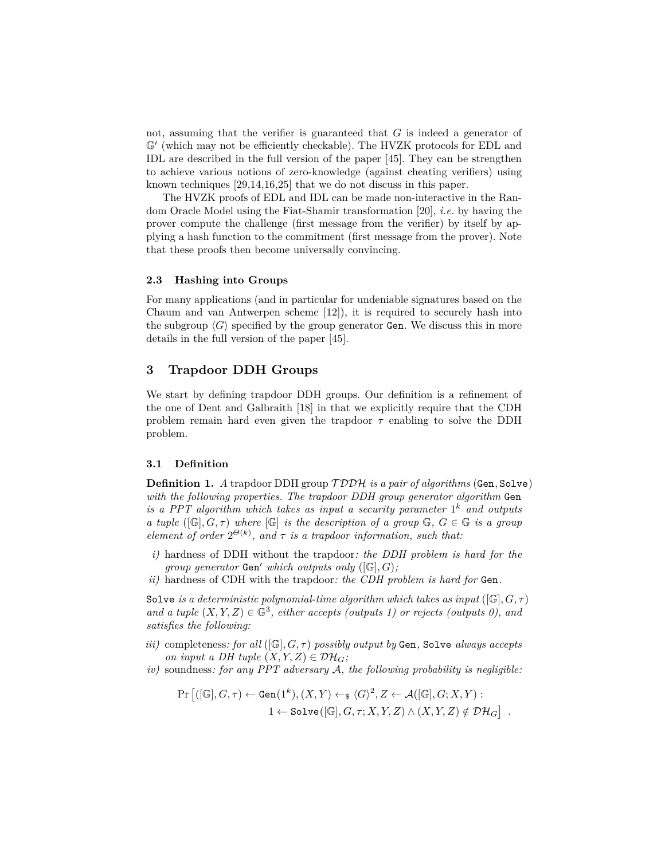not, assuming that the verifier is guaranteed that *G* is indeed a generator of  $\mathbb{G}'$  (which may not be efficiently checkable). The HVZK protocols for EDL and IDL are described in the full version of the paper [45]. They can be strengthen to achieve various notions of zero-knowledge (against cheating verifiers) using known techniques [29,14,16,25] that we do not discuss in this paper.

The HVZK proofs of EDL and IDL can be made non-interactive in the Random Oracle Model using the Fiat-Shamir transformation [20], *i.e.* by having the prover compute the challenge (first message from the verifier) by itself by applying a hash function to the commitment (first message from the prover). Note that these proofs then become universally convincing.

### **2.3 Hashing into Groups**

For many applications (and in particular for undeniable signatures based on the Chaum and van Antwerpen scheme [12]), it is required to securely hash into the subgroup  $\langle G \rangle$  specified by the group generator Gen. We discuss this in more details in the full version of the paper [45].

# **3 Trapdoor DDH Groups**

We start by defining trapdoor DDH groups. Our definition is a refinement of the one of Dent and Galbraith [18] in that we explicitly require that the CDH problem remain hard even given the trapdoor  $\tau$  enabling to solve the DDH problem.

### **3.1 Definition**

**Definition 1.** *A* trapdoor DDH group  $TDDH$  *is a pair of algorithms* (Gen, Solve) *with the following properties. The trapdoor DDH group generator algorithm* Gen *is a PPT algorithm which takes as input a security parameter* 1 *<sup>k</sup> and outputs a tuple* ( $[\mathbb{G}], G, \tau$ ) where  $[\mathbb{G}]$  *is the description of a group*  $\mathbb{G}, G \in \mathbb{G}$  *is a group element of order*  $2^{\Theta(k)}$ , and  $\tau$  *is a trapdoor information, such that:* 

- *i)* hardness of DDH without the trapdoor*: the DDH problem is hard for the group generator* Gen<sup> $\prime$ </sup> *which outputs only* ([G],  $G$ );
- *ii)* hardness of CDH with the trapdoor*: the CDH problem is hard for* Gen*.*

Solve *is a deterministic polynomial-time algorithm which takes as input*  $([\mathbb{G}], G, \tau)$ and a tuple  $(X, Y, Z) \in \mathbb{G}^3$ , either accepts (outputs 1) or rejects (outputs 0), and *satisfies the following:*

- *iii)* completeness*: for all* ([G]*, G, τ* ) *possibly output by* Gen*,* Solve *always accepts on input a DH tuple*  $(X, Y, Z) \in \mathcal{DH}_G$ *;*
- *iv)* soundness*: for any PPT adversary* A*, the following probability is negligible:*

$$
\Pr\left[([\mathbb{G}], G, \tau) \leftarrow \text{Gen}(1^k), (X, Y) \leftarrow_{\$} \langle G \rangle^2, Z \leftarrow \mathcal{A}([\mathbb{G}], G; X, Y) : \\
1 \leftarrow \text{Solve}([\mathbb{G}], G, \tau; X, Y, Z) \wedge (X, Y, Z) \notin \mathcal{DH}_G \right] .
$$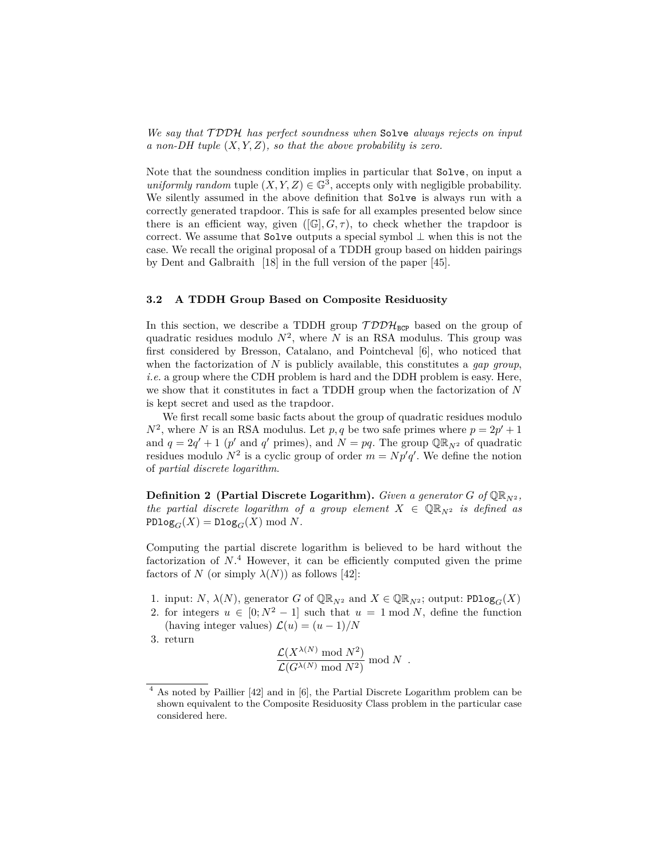*We say that*  $TDDH$  *has perfect soundness when* Solve *always rejects on input a non-DH tuple* (*X, Y, Z*)*, so that the above probability is zero.*

Note that the soundness condition implies in particular that Solve, on input a *uniformly random* tuple  $(X, Y, Z) \in \mathbb{G}^3$ , accepts only with negligible probability. We silently assumed in the above definition that Solve is always run with a correctly generated trapdoor. This is safe for all examples presented below since there is an efficient way, given  $([\mathbb{G}], G, \tau)$ , to check whether the trapdoor is correct. We assume that Solve outputs a special symbol ⊥ when this is not the case. We recall the original proposal of a TDDH group based on hidden pairings by Dent and Galbraith [18] in the full version of the paper [45].

### **3.2 A TDDH Group Based on Composite Residuosity**

In this section, we describe a TDDH group  $\mathcal{TDDH}_{\text{BCP}}$  based on the group of quadratic residues modulo  $N^2$ , where  $N$  is an RSA modulus. This group was first considered by Bresson, Catalano, and Pointcheval [6], who noticed that when the factorization of *N* is publicly available, this constitutes a *gap group*, *i.e.* a group where the CDH problem is hard and the DDH problem is easy. Here, we show that it constitutes in fact a TDDH group when the factorization of *N* is kept secret and used as the trapdoor.

We first recall some basic facts about the group of quadratic residues modulo  $N^2$ , where *N* is an RSA modulus. Let *p*, *q* be two safe primes where  $p = 2p' + 1$ and  $q = 2q' + 1$  (*p'* and *q'* primes), and  $N = pq$ . The group  $\mathbb{QR}_{N^2}$  of quadratic residues modulo  $N^2$  is a cyclic group of order  $m = Np'q'$ . We define the notion of *partial discrete logarithm*.

**Definition 2** (Partial Discrete Logarithm). *Given a generator G* of  $\mathbb{QR}_{N^2}$ , *the partial discrete logarithm of a group element*  $X \in \mathbb{Q}\mathbb{R}_{N^2}$  *is defined as*  $PDlog_G(X) = Dlog_G(X) \text{ mod } N$ *.* 

Computing the partial discrete logarithm is believed to be hard without the factorization of  $N$ .<sup>4</sup> However, it can be efficiently computed given the prime factors of *N* (or simply  $\lambda(N)$ ) as follows [42]:

- 1. input: *N*,  $\lambda(N)$ , generator *G* of  $\mathbb{QR}_{N^2}$  and  $X \in \mathbb{QR}_{N^2}$ ; output:  $PDlog_G(X)$
- 2. for integers  $u \in [0; N^2 1]$  such that  $u = 1 \text{ mod } N$ , define the function (having integer values)  $\mathcal{L}(u) = (u-1)/N$
- 3. return

$$
\frac{\mathcal{L}(X^{\lambda(N)} \bmod N^2)}{\mathcal{L}(G^{\lambda(N)} \bmod N^2)} \bmod N.
$$

<sup>4</sup> As noted by Paillier [42] and in [6], the Partial Discrete Logarithm problem can be shown equivalent to the Composite Residuosity Class problem in the particular case considered here.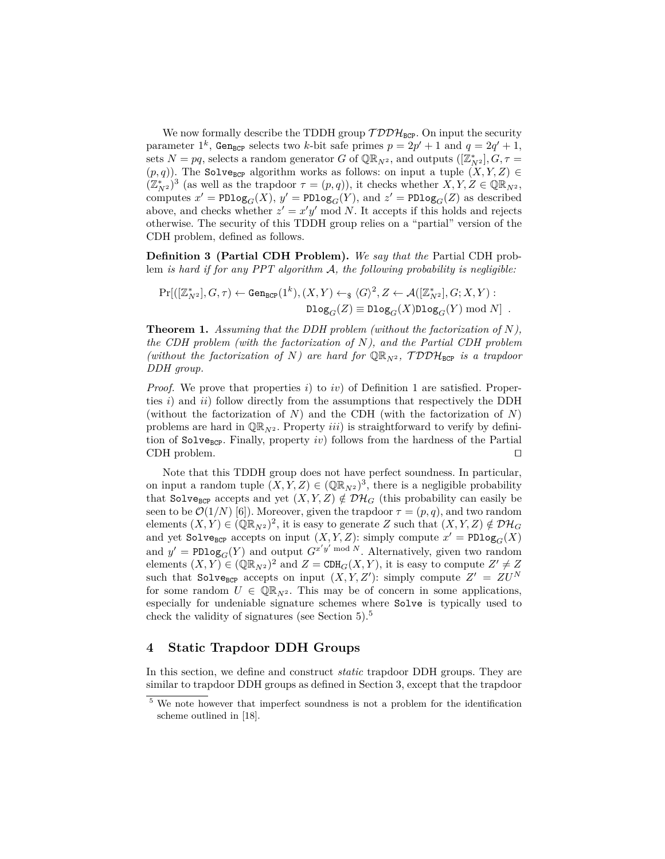We now formally describe the TDDH group  $\mathcal{TDD\mathcal{H}}_{\texttt{BCP}}$ . On input the security parameter  $1^k$ , Gen<sub>BCP</sub> selects two *k*-bit safe primes  $p = 2p' + 1$  and  $q = 2q' + 1$ , sets  $N = pq$ , selects a random generator *G* of  $\mathbb{QR}_{N^2}$ , and outputs  $([\mathbb{Z}_{N^2}^*], G, \tau =$  $(p, q)$ ). The Solve<sub>BCP</sub> algorithm works as follows: on input a tuple  $(X, Y, Z) \in$  $(\mathbb{Z}_{N^2}^*)^3$  (as well as the trapdoor  $\tau = (p, q)$ ), it checks whether  $X, Y, Z \in \mathbb{QR}_{N^2}$ , computes  $x' = \text{PDlog}_G(X)$ ,  $y' = \text{PDlog}_G(Y)$ , and  $z' = \text{PDlog}_G(Z)$  as described above, and checks whether  $z' = x'y' \mod N$ . It accepts if this holds and rejects otherwise. The security of this TDDH group relies on a "partial" version of the CDH problem, defined as follows.

**Definition 3 (Partial CDH Problem).** *We say that the* Partial CDH problem *is hard if for any PPT algorithm* A*, the following probability is negligible:*

$$
\Pr[([\mathbb{Z}_{N^2}^*], G, \tau) \leftarrow \texttt{Gen}_{\texttt{BCP}}(1^k), (X, Y) \leftarrow_{\$} \langle G \rangle^2, Z \leftarrow \mathcal{A}([\mathbb{Z}_{N^2}^*], G; X, Y) : \\ \texttt{Dlog}_G(Z) \equiv \texttt{Dlog}_G(X) \texttt{Dlog}_G(Y) \bmod N] \enspace .
$$

**Theorem 1.** *Assuming that the DDH problem (without the factorization of N), the CDH problem (with the factorization of N), and the Partial CDH problem (without the factorization of N)* are hard for  $\mathbb{QR}_{N^2}$ ,  $\mathcal{TDDH}_{BCP}$  is a trapdoor *DDH group.*

*Proof.* We prove that properties *i*) to *iv*) of Definition 1 are satisfied. Properties *i*) and *ii*) follow directly from the assumptions that respectively the DDH (without the factorization of *N*) and the CDH (with the factorization of *N*) problems are hard in  $\mathbb{QR}_{N^2}$ . Property *iii*) is straightforward to verify by definition of  $Solve_{BCP}$ . Finally, property *iv*) follows from the hardness of the Partial  $CDH$  problem.  $\square$ 

Note that this TDDH group does not have perfect soundness. In particular, on input a random tuple  $(X, Y, Z) \in (\mathbb{Q}\mathbb{R}_{N^2})^3$ , there is a negligible probability that Solve<sub>BCP</sub> accepts and yet  $(X, Y, Z) \notin \mathcal{DH}_G$  (this probability can easily be seen to be  $\mathcal{O}(1/N)$  [6]). Moreover, given the trapdoor  $\tau = (p, q)$ , and two random elements  $(X, Y) \in (\mathbb{QR}_{N^2})^2$ , it is easy to generate *Z* such that  $(X, Y, Z) \notin \mathcal{DH}_G$ and yet  $\texttt{Solve}_{\texttt{BCP}}$  accepts on input  $(X, Y, Z)$ : simply compute  $x' = \texttt{PDlog}_G(X)$ and  $y' = \text{PDlog}_G(Y)$  and output  $G^{x'y' \mod N}$ . Alternatively, given two random elements  $(X, Y) \in (\mathbb{Q}\mathbb{R}_{N^2})^2$  and  $Z = \mathbb{C}DH_G(X, Y)$ , it is easy to compute  $Z' \neq Z$ such that Solve<sub>BCP</sub> accepts on input  $(X, Y, Z')$ : simply compute  $Z' = ZU^N$ for some random  $U \in \mathbb{Q}\mathbb{R}_{N^2}$ . This may be of concern in some applications, especially for undeniable signature schemes where Solve is typically used to check the validity of signatures (see Section 5).<sup>5</sup>

# **4 Static Trapdoor DDH Groups**

In this section, we define and construct *static* trapdoor DDH groups. They are similar to trapdoor DDH groups as defined in Section 3, except that the trapdoor

<sup>5</sup> We note however that imperfect soundness is not a problem for the identification scheme outlined in [18].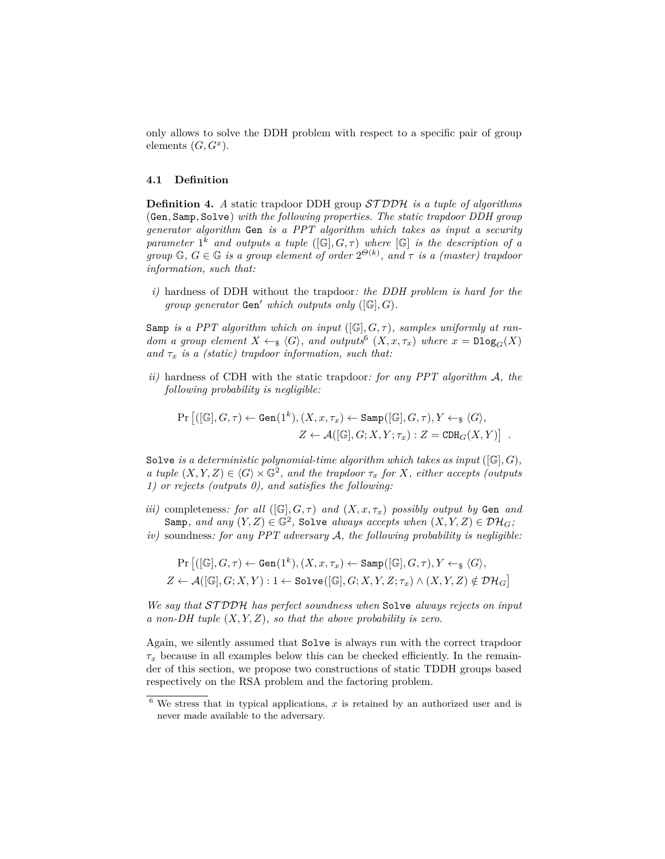only allows to solve the DDH problem with respect to a specific pair of group elements  $(G, G<sup>x</sup>)$ .

### **4.1 Definition**

**Definition 4.** *A* static trapdoor DDH group ST DDH *is a tuple of algorithms* (Gen*,* Samp*,* Solve) *with the following properties. The static trapdoor DDH group generator algorithm* Gen *is a PPT algorithm which takes as input a security parameter*  $1^{\overline{k}}$  *and outputs a tuple* ([G]*, G,*  $\tau$ *) where* [G] *is the description of a group*  $\mathbb{G}$ *,*  $G \in \mathbb{G}$  *is a group element of order*  $2^{\Theta(k)}$ *, and*  $\tau$  *is a (master) trapdoor information, such that:*

*i)* hardness of DDH without the trapdoor*: the DDH problem is hard for the group generator* Gen' *which outputs only* ( $[\mathbb{G}], G$ ).

Samp *is a PPT algorithm which on input* ([G]*, G, τ* )*, samples uniformly at random a group element*  $X \leftarrow_{\S} \langle G \rangle$ *, and outputs*<sup>6</sup>  $(X, x, \tau_x)$  *where*  $x = \text{Dlog}_G(X)$ *and τ<sup>x</sup> is a (static) trapdoor information, such that:*

*ii)* hardness of CDH with the static trapdoor*: for any PPT algorithm* A*, the following probability is negligible:*

$$
\Pr\left[([\mathbb{G}],G,\tau) \leftarrow \texttt{Gen}(1^k),(X,x,\tau_x) \leftarrow \texttt{Samp}([\mathbb{G}],G,\tau),Y \leftarrow_{\$} \langle G \rangle, \\ Z \leftarrow \mathcal{A}([\mathbb{G}],G;X,Y;\tau_x):Z = \texttt{CDH}_G(X,Y)\right] \enspace .
$$

Solve *is a deterministic polynomial-time algorithm which takes as input*  $([\mathbb{G}], G)$ *, a tuple*  $(X, Y, Z) \in \langle G \rangle \times \mathbb{G}^2$ , and the trapdoor  $\tau_x$  for X, either accepts (outputs *1) or rejects (outputs 0), and satisfies the following:*

- *iii)* completeness: for all  $([\mathbb{G}], G, \tau)$  and  $(X, x, \tau_x)$  possibly output by Gen and  $Samp,$  and any  $(Y, Z) \in \mathbb{G}^2$ ,  $Solve$  *always accepts when*  $(X, Y, Z) \in \mathcal{DH}_G$ ;
- *iv)* soundness*: for any PPT adversary* A*, the following probability is negligible:*

$$
\Pr\left[([\mathbb{G}], G, \tau) \leftarrow \text{Gen}(1^k), (X, x, \tau_x) \leftarrow \text{Samp}([\mathbb{G}], G, \tau), Y \leftarrow_{\$} \langle G \rangle, Z \leftarrow \mathcal{A}([\mathbb{G}], G; X, Y) : 1 \leftarrow \text{Solve}([\mathbb{G}], G; X, Y, Z; \tau_x) \wedge (X, Y, Z) \notin \mathcal{DH}_G\right)
$$

*We say that* ST DDH *has perfect soundness when* Solve *always rejects on input a non-DH tuple* (*X, Y, Z*)*, so that the above probability is zero.*

Again, we silently assumed that Solve is always run with the correct trapdoor  $\tau_x$  because in all examples below this can be checked efficiently. In the remainder of this section, we propose two constructions of static TDDH groups based respectively on the RSA problem and the factoring problem.

<sup>6</sup> We stress that in typical applications, *x* is retained by an authorized user and is never made available to the adversary.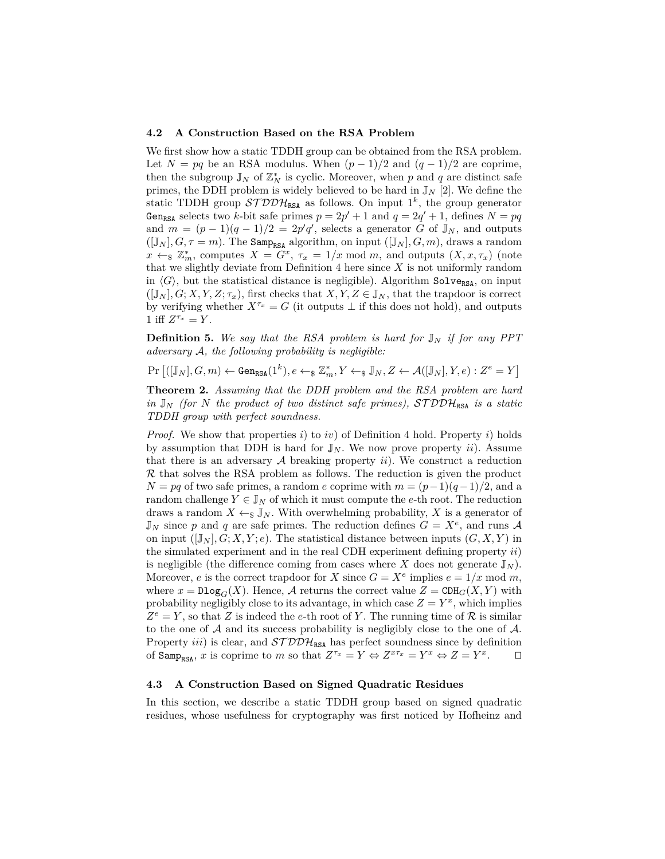### **4.2 A Construction Based on the RSA Problem**

We first show how a static TDDH group can be obtained from the RSA problem. Let  $N = pq$  be an RSA modulus. When  $(p-1)/2$  and  $(q-1)/2$  are coprime, then the subgroup  $\mathbb{J}_N$  of  $\mathbb{Z}_N^*$  is cyclic. Moreover, when *p* and *q* are distinct safe primes, the DDH problem is widely believed to be hard in J*<sup>N</sup>* [2]. We define the static TDDH group  $\mathcal{STDDH}_{\texttt{RSA}}$  as follows. On input  $1^k$ , the group generator Gen<sub>RSA</sub> selects two *k*-bit safe primes  $p = 2p' + 1$  and  $q = 2q' + 1$ , defines  $N = pq$ and  $m = (p-1)(q-1)/2 = 2p'q'$ , selects a generator *G* of  $\mathbb{J}_N$ , and outputs  $([\mathbb{J}_N], G, \tau = m)$ . The Samp<sub>RSA</sub> algorithm, on input  $([\mathbb{J}_N], G, m)$ , draws a random  $x \leftarrow_{\mathbb{S}} \mathbb{Z}_m^*$ , computes  $X = G^x$ ,  $\tau_x = 1/x \mod m$ , and outputs  $(X, x, \tau_x)$  (note that we slightly deviate from Definition 4 here since *X* is not uniformly random in  $\langle G \rangle$ , but the statistical distance is negligible). Algorithm Solve<sub>RSA</sub>, on input  $([\mathbb{J}_N], G; X, Y, Z; \tau_x)$ , first checks that  $X, Y, Z \in \mathbb{J}_N$ , that the trapdoor is correct by verifying whether  $X^{\tau_x} = G$  (it outputs  $\perp$  if this does not hold), and outputs 1 iff  $Z^{\tau_x} = Y$ .

**Definition 5.** We say that the RSA problem is hard for  $\mathbb{J}_N$  if for any PPT *adversary* A*, the following probability is negligible:*

 $\Pr\left[\left([\mathbb{J}_N], G, m\right) \leftarrow \texttt{Gen}_\texttt{RSA}(1^k), e \leftarrow_\$ \mathbb{Z}_m^*, Y \leftarrow_\$ \mathbb{J}_N, Z \leftarrow \mathcal{A}([\mathbb{J}_N], Y, e): Z^e = Y\right]$ 

**Theorem 2.** *Assuming that the DDH problem and the RSA problem are hard in*  $\mathbb{J}_N$  *(for N the product of two distinct safe primes),* STDDH<sub>RSA</sub> *is a static TDDH group with perfect soundness.*

*Proof.* We show that properties *i*) to *iv*) of Definition 4 hold. Property *i*) holds by assumption that DDH is hard for  $\mathbb{J}_N$ . We now prove property *ii*). Assume that there is an adversary  $A$  breaking property  $ii$ ). We construct a reduction R that solves the RSA problem as follows. The reduction is given the product  $N = pq$  of two safe primes, a random *e* coprime with  $m = (p-1)(q-1)/2$ , and a random challenge  $Y \in \mathbb{J}_N$  of which it must compute the *e*-th root. The reduction draws a random  $X \leftarrow_{\S} \mathbb{J}_N$ . With overwhelming probability, X is a generator of  $\mathbb{J}_N$  since p and q are safe primes. The reduction defines  $G = X^e$ , and runs A on input  $([\mathbb{J}_N], G; X, Y; e)$ . The statistical distance between inputs  $(G, X, Y)$  in the simulated experiment and in the real CDH experiment defining property *ii*) is negligible (the difference coming from cases where *X* does not generate  $\mathbb{J}_N$ ). Moreover, *e* is the correct trapdoor for *X* since  $G = X^e$  implies  $e = 1/x \mod m$ , where  $x = \text{Dlog}_G(X)$ . Hence, A returns the correct value  $Z = \text{CDH}_G(X, Y)$  with probability negligibly close to its advantage, in which case  $Z = Y^x$ , which implies  $Z^e = Y$ , so that *Z* is indeed the *e*-th root of *Y*. The running time of R is similar to the one of  $A$  and its success probability is negligibly close to the one of  $A$ . Property  $iii)$  is clear, and  $\mathcal{STDDH}_{\text{RSA}}$  has perfect soundness since by definition of  $\text{Samp}_{\text{RSA}}$ , *x* is coprime to *m* so that  $Z^{\tau_x} = Y \Leftrightarrow Z^{x\tau_x} = Y^x \Leftrightarrow Z = Y^x$  $\Box$ 

### **4.3 A Construction Based on Signed Quadratic Residues**

In this section, we describe a static TDDH group based on signed quadratic residues, whose usefulness for cryptography was first noticed by Hofheinz and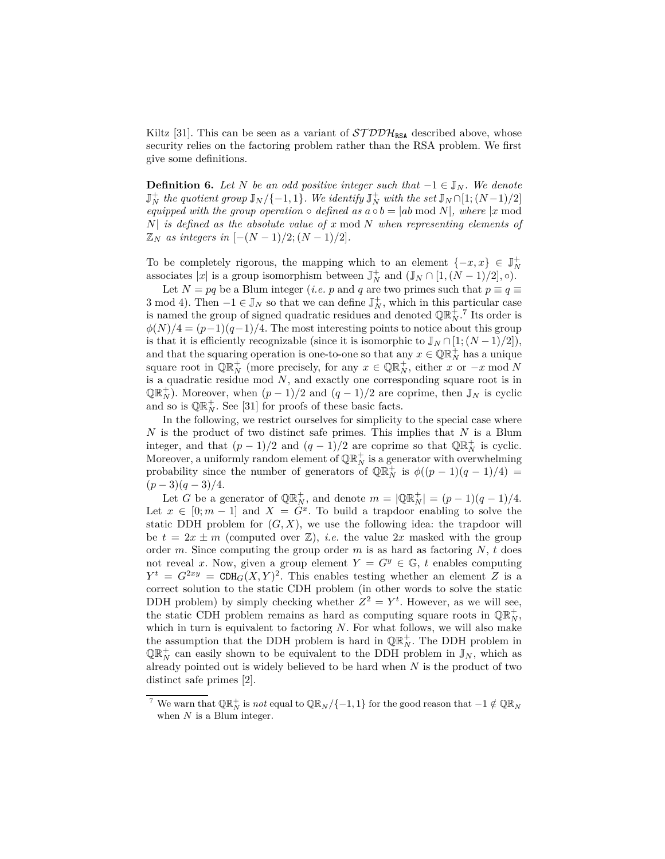Kiltz [31]. This can be seen as a variant of  $\mathcal{STDDH}_{\tt RSA}$  described above, whose security relies on the factoring problem rather than the RSA problem. We first give some definitions.

**Definition 6.** *Let N be an odd positive integer such that*  $-1 \in \mathbb{J}_N$ *. We denote*  $\mathbb{J}_{N}^{+}$  the quotient group  $\mathbb{J}_{N}/\{-1,1\}$ . We identify  $\mathbb{J}_{N}^{+}$  with the set  $\mathbb{J}_{N} \cap [1; (N-1)/2]$ *equipped with the group operation* ◦ *defined as*  $a \circ b = |ab \mod N|$ *, where*  $|x \mod N|$ *N*| *is defined as the absolute value of x* mod *N when representing elements of*  $\mathbb{Z}_N$  *as integers in*  $[-(N-1)/2; (N-1)/2]$ *.* 

To be completely rigorous, the mapping which to an element  $\{-x, x\} \in \mathbb{J}_N^+$ associates  $|x|$  is a group isomorphism between  $\mathbb{J}_N^+$  and  $(\mathbb{J}_N \cap [1, (N-1)/2], \circ)$ .

Let *N* = *pq* be a Blum integer (*i.e. p* and *q* are two primes such that  $p \equiv q \equiv$ 3 mod 4). Then  $-1 \in \mathbb{J}_N$  so that we can define  $\mathbb{J}_N^+$ , which in this particular case is named the group of signed quadratic residues and denoted  $\mathbb{QR}_{N}^+$ .<sup>7</sup> Its order is  $\phi(N)/4 = (p-1)(q-1)/4$ . The most interesting points to notice about this group is that it is efficiently recognizable (since it is isomorphic to  $\mathbb{J}_N \cap [1; (N-1)/2]$ ), and that the squaring operation is one-to-one so that any  $x \in \mathbb{QR}_N^+$  has a unique square root in  $\mathbb{QR}_{N}^{+}$  (more precisely, for any  $x \in \mathbb{QR}_{N}^{+}$ , either *x* or  $-x \mod N$ is a quadratic residue mod *N*, and exactly one corresponding square root is in  $\mathbb{Q} \mathbb{R}_N^+$ ). Moreover, when  $(p-1)/2$  and  $(q-1)/2$  are coprime, then  $\mathbb{J}_N$  is cyclic and so is  $\mathbb{QR}_{N}^{+}$ . See [31] for proofs of these basic facts.

In the following, we restrict ourselves for simplicity to the special case where *N* is the product of two distinct safe primes. This implies that *N* is a Blum integer, and that  $(p-1)/2$  and  $(q-1)/2$  are coprime so that  $\mathbb{QR}_{N}^{+}$  is cyclic. Moreover, a uniformly random element of  $\mathbb{QR}_{N}^{+}$  is a generator with overwhelming probability since the number of generators of  $\mathbb{QR}_N^+$  is  $\phi((p-1)(q-1)/4)$  =  $(p-3)(q-3)/4.$ 

Let *G* be a generator of  $\mathbb{QR}_N^+$ , and denote  $m = |\mathbb{QR}_N^+| = (p-1)(q-1)/4$ . Let  $x \in [0; m-1]$  and  $X = G^x$ . To build a trapdoor enabling to solve the static DDH problem for  $(G, X)$ , we use the following idea: the trapdoor will be  $t = 2x \pm m$  (computed over  $\mathbb{Z}$ ), *i.e.* the value  $2x$  masked with the group order *m*. Since computing the group order *m* is as hard as factoring  $N$ ,  $t$  does not reveal *x*. Now, given a group element  $Y = G^y \in \mathbb{G}$ , *t* enables computing  $Y^t = G^{2xy} = \text{CDH}_G(X, Y)^2$ . This enables testing whether an element *Z* is a correct solution to the static CDH problem (in other words to solve the static DDH problem) by simply checking whether  $Z^2 = Y^t$ . However, as we will see, the static CDH problem remains as hard as computing square roots in  $\mathbb{QR}_{N}^{+}$ , which in turn is equivalent to factoring *N*. For what follows, we will also make the assumption that the DDH problem is hard in  $\mathbb{QR}_{N}^{+}$ . The DDH problem in  $\mathbb{QR}_{N}^{+}$  can easily shown to be equivalent to the DDH problem in  $\mathbb{J}_{N}$ , which as already pointed out is widely believed to be hard when *N* is the product of two distinct safe primes [2].

<sup>&</sup>lt;sup>7</sup> We warn that  $\mathbb{QR}_{N}^{+}$  is *not* equal to  $\mathbb{QR}_{N}/\{-1,1\}$  for the good reason that  $-1 \notin \mathbb{QR}_{N}$ when *N* is a Blum integer.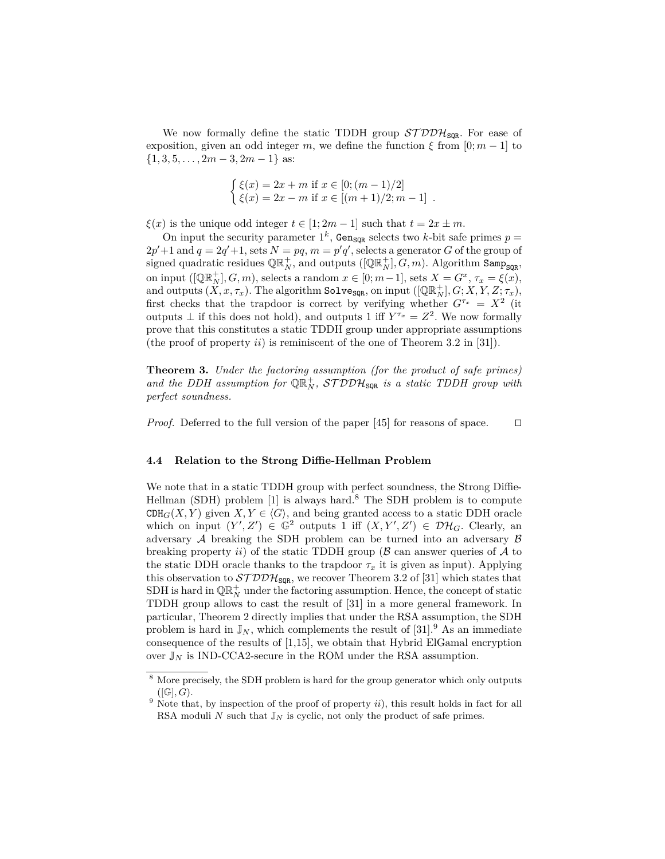We now formally define the static TDDH group  $\mathcal{STDDH}_{\text{SQR}}$ . For ease of exposition, given an odd integer *m*, we define the function  $\xi$  from  $[0; m-1]$  to  $\{1, 3, 5, \ldots, 2m - 3, 2m - 1\}$  as:

$$
\begin{cases} \xi(x) = 2x + m \text{ if } x \in [0; (m-1)/2] \\ \xi(x) = 2x - m \text{ if } x \in [(m+1)/2; m-1] \end{cases}.
$$

*ξ*(*x*) is the unique odd integer  $t \in [1; 2m - 1]$  such that  $t = 2x \pm m$ .

On input the security parameter  $1<sup>k</sup>$ , Gen<sub>sqR</sub> selects two *k*-bit safe primes  $p =$  $2p'+1$  and  $q = 2q'+1$ , sets  $N = pq$ ,  $m = p'q'$ , selects a generator *G* of the group of signed quadratic residues  $\mathbb{QR}_{N}^{+}$ , and outputs  $([\mathbb{QR}_{N}^{+}], G, m)$ . Algorithm  $\texttt{Samp}_{\texttt{SQR}},$ on input  $([\mathbb{Q}\mathbb{R}_N^+], G, m)$ , selects a random  $x \in [0; m-1]$ , sets  $X = G^x$ ,  $\tau_x = \xi(x)$ , and outputs  $(X, x, \tau_x)$ . The algorithm Solve<sub>SQR</sub>, on input  $([\mathbb{QR}^+_N], G; X, Y, Z; \tau_x)$ , first checks that the trapdoor is correct by verifying whether  $G^{\tau_x} = X^2$  (it outputs  $\perp$  if this does not hold), and outputs 1 iff  $Y^{\tau_x} = Z^2$ . We now formally prove that this constitutes a static TDDH group under appropriate assumptions (the proof of property *ii*) is reminiscent of the one of Theorem 3.2 in [31]).

**Theorem 3.** *Under the factoring assumption (for the product of safe primes)* and the DDH assumption for  $\mathbb{QR}_{N}^{+}$ ,  $\mathcal{STDDH}_{\text{SQR}}$  *is a static TDDH group with perfect soundness.*

*Proof.* Deferred to the full version of the paper [45] for reasons of space.  $\Box$ 

### **4.4 Relation to the Strong Diffie-Hellman Problem**

We note that in a static TDDH group with perfect soundness, the Strong Diffie-Hellman (SDH) problem  $[1]$  is always hard.<sup>8</sup> The SDH problem is to compute CDH<sub>*G*</sub>(*X,Y*) given *X,Y*  $\in$   $\langle G \rangle$ , and being granted access to a static DDH oracle which on input  $(Y', Z') \in \mathbb{G}^2$  outputs 1 iff  $(X, Y', Z') \in \mathcal{DH}_G$ . Clearly, an adversary  $A$  breaking the SDH problem can be turned into an adversary  $B$ breaking property *ii*) of the static TDDH group ( $\beta$  can answer queries of  $\mathcal A$  to the static DDH oracle thanks to the trapdoor  $\tau_x$  it is given as input). Applying this observation to  $\mathcal{STDDH}_{\text{SQR}}$ , we recover Theorem 3.2 of [31] which states that SDH is hard in  $\mathbb{QR}_{N}^{+}$  under the factoring assumption. Hence, the concept of static TDDH group allows to cast the result of [31] in a more general framework. In particular, Theorem 2 directly implies that under the RSA assumption, the SDH problem is hard in  $\mathbb{J}_N$ , which complements the result of [31]. <sup>9</sup> As an immediate consequence of the results of [1,15], we obtain that Hybrid ElGamal encryption over  $\mathbb{J}_N$  is IND-CCA2-secure in the ROM under the RSA assumption.

<sup>8</sup> More precisely, the SDH problem is hard for the group generator which only outputs  $([G], G)$ .

 $9$  Note that, by inspection of the proof of property *ii*), this result holds in fact for all RSA moduli  $N$  such that  $\mathbb{J}_N$  is cyclic, not only the product of safe primes.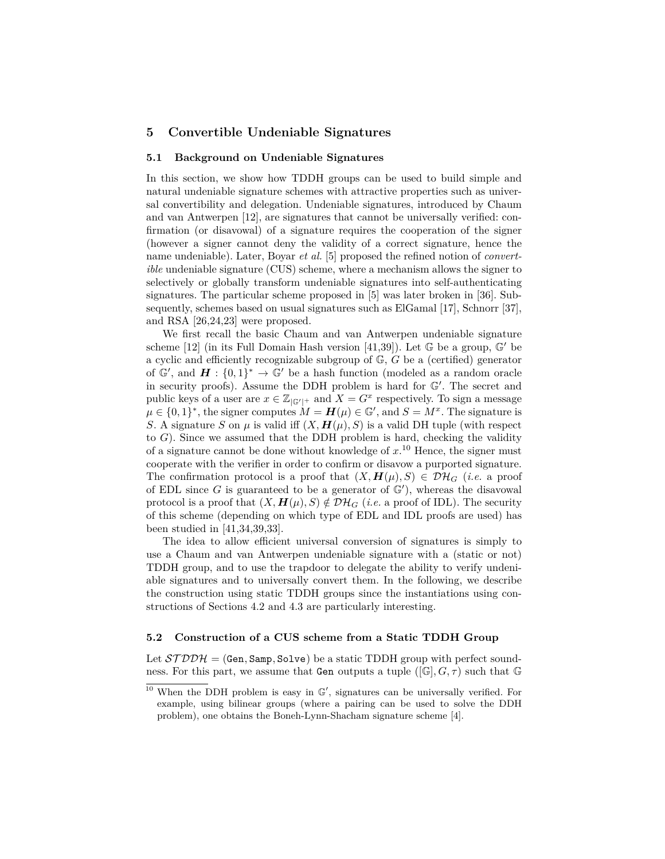# **5 Convertible Undeniable Signatures**

### **5.1 Background on Undeniable Signatures**

In this section, we show how TDDH groups can be used to build simple and natural undeniable signature schemes with attractive properties such as universal convertibility and delegation. Undeniable signatures, introduced by Chaum and van Antwerpen [12], are signatures that cannot be universally verified: confirmation (or disavowal) of a signature requires the cooperation of the signer (however a signer cannot deny the validity of a correct signature, hence the name undeniable). Later, Boyar *et al.* [5] proposed the refined notion of *convertible* undeniable signature (CUS) scheme, where a mechanism allows the signer to selectively or globally transform undeniable signatures into self-authenticating signatures. The particular scheme proposed in [5] was later broken in [36]. Subsequently, schemes based on usual signatures such as ElGamal [17], Schnorr [37], and RSA [26,24,23] were proposed.

We first recall the basic Chaum and van Antwerpen undeniable signature scheme [12] (in its Full Domain Hash version [41,39]). Let  $\mathbb{G}$  be a group,  $\mathbb{G}'$  be a cyclic and efficiently recognizable subgroup of G, *G* be a (certified) generator of  $\mathbb{G}'$ , and  $\mathbf{H}$  :  $\{0,1\}^* \to \mathbb{G}'$  be a hash function (modeled as a random oracle in security proofs). Assume the DDH problem is hard for  $\mathbb{G}'$ . The secret and public keys of a user are  $x \in \mathbb{Z}_{|\mathbb{G}'|^+}$  and  $X = G^x$  respectively. To sign a message  $\mu \in \{0,1\}^*$ , the signer computes  $M = H(\mu) \in \mathbb{G}'$ , and  $S = M^x$ . The signature is *S*. A signature *S* on  $\mu$  is valid iff  $(X, H(\mu), S)$  is a valid DH tuple (with respect to *G*). Since we assumed that the DDH problem is hard, checking the validity of a signature cannot be done without knowledge of  $x$ .<sup>10</sup> Hence, the signer must cooperate with the verifier in order to confirm or disavow a purported signature. The confirmation protocol is a proof that  $(X, H(\mu), S) \in \mathcal{DH}_G$  (*i.e.* a proof of EDL since  $G$  is guaranteed to be a generator of  $\mathbb{G}'$ ), whereas the disavowal protocol is a proof that  $(X, H(\mu), S) \notin \mathcal{DH}_G$  (*i.e.* a proof of IDL). The security of this scheme (depending on which type of EDL and IDL proofs are used) has been studied in [41,34,39,33].

The idea to allow efficient universal conversion of signatures is simply to use a Chaum and van Antwerpen undeniable signature with a (static or not) TDDH group, and to use the trapdoor to delegate the ability to verify undeniable signatures and to universally convert them. In the following, we describe the construction using static TDDH groups since the instantiations using constructions of Sections 4.2 and 4.3 are particularly interesting.

### **5.2 Construction of a CUS scheme from a Static TDDH Group**

Let  $\mathcal{STDDH} = (Gen, Sample, Solve)$  be a static TDDH group with perfect soundness. For this part, we assume that Gen outputs a tuple  $([\mathbb{G}], G, \tau)$  such that  $\mathbb{G}$ 

<sup>&</sup>lt;sup>10</sup> When the DDH problem is easy in  $\mathbb{G}'$ , signatures can be universally verified. For example, using bilinear groups (where a pairing can be used to solve the DDH problem), one obtains the Boneh-Lynn-Shacham signature scheme [4].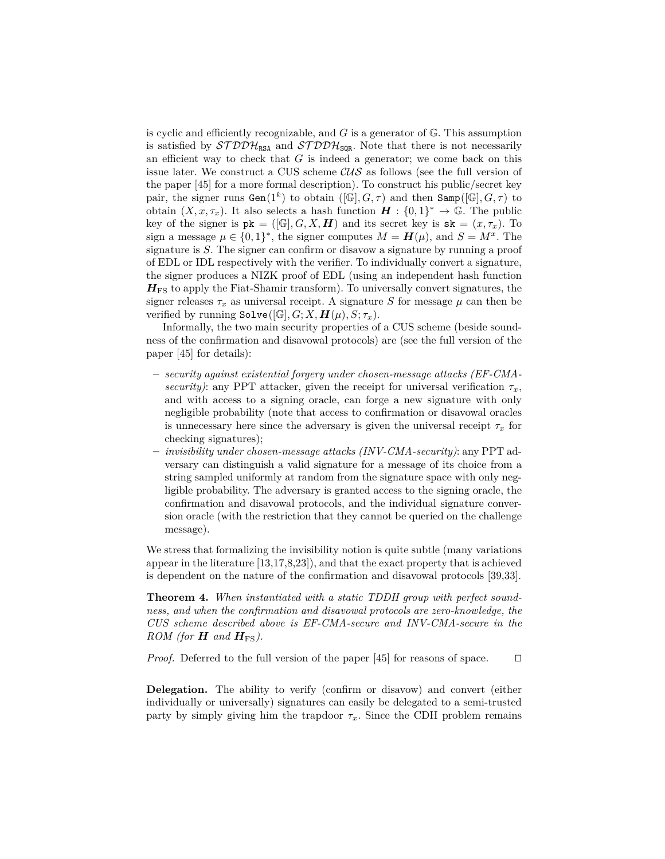is cyclic and efficiently recognizable, and *G* is a generator of G. This assumption is satisfied by  $\mathcal{STDDH}_{\text{RSA}}$  and  $\mathcal{STDDH}_{\text{SQR}}$ . Note that there is not necessarily an efficient way to check that *G* is indeed a generator; we come back on this issue later. We construct a CUS scheme  $\mathcal{CUS}$  as follows (see the full version of the paper [45] for a more formal description). To construct his public/secret key pair, the signer runs  $Gen(1^k)$  to obtain  $([\mathbb{G}], G, \tau)$  and then  $Samp([\mathbb{G}], G, \tau)$  to obtain  $(X, x, \tau_x)$ . It also selects a hash function  $H : \{0,1\}^* \to \mathbb{G}$ . The public key of the signer is  $pk = (G, G, X, H)$  and its secret key is  $sk = (x, \tau_x)$ . To sign a message  $\mu \in \{0,1\}^*$ , the signer computes  $M = H(\mu)$ , and  $S = M^x$ . The signature is *S*. The signer can confirm or disavow a signature by running a proof of EDL or IDL respectively with the verifier. To individually convert a signature, the signer produces a NIZK proof of EDL (using an independent hash function  $H<sub>FS</sub>$  to apply the Fiat-Shamir transform). To universally convert signatures, the signer releases  $\tau_x$  as universal receipt. A signature *S* for message  $\mu$  can then be verified by running  $Solve([\mathbb{G}], G; X, H(\mu), S; \tau_x)$ .

Informally, the two main security properties of a CUS scheme (beside soundness of the confirmation and disavowal protocols) are (see the full version of the paper [45] for details):

- **–** *security against existential forgery under chosen-message attacks (EF-CMAsecurity*): any PPT attacker, given the receipt for universal verification  $\tau_x$ , and with access to a signing oracle, can forge a new signature with only negligible probability (note that access to confirmation or disavowal oracles is unnecessary here since the adversary is given the universal receipt  $\tau_x$  for checking signatures);
- **–** *invisibility under chosen-message attacks (INV-CMA-security)*: any PPT adversary can distinguish a valid signature for a message of its choice from a string sampled uniformly at random from the signature space with only negligible probability. The adversary is granted access to the signing oracle, the confirmation and disavowal protocols, and the individual signature conversion oracle (with the restriction that they cannot be queried on the challenge message).

We stress that formalizing the invisibility notion is quite subtle (many variations appear in the literature [13,17,8,23]), and that the exact property that is achieved is dependent on the nature of the confirmation and disavowal protocols [39,33].

**Theorem 4.** *When instantiated with a static TDDH group with perfect soundness, and when the confirmation and disavowal protocols are zero-knowledge, the CUS scheme described above is EF-CMA-secure and INV-CMA-secure in the ROM* (for *H* and  $H_{\text{FS}}$ ).

*Proof.* Deferred to the full version of the paper [45] for reasons of space.  $\Box$ 

**Delegation.** The ability to verify (confirm or disavow) and convert (either individually or universally) signatures can easily be delegated to a semi-trusted party by simply giving him the trapdoor  $\tau_x$ . Since the CDH problem remains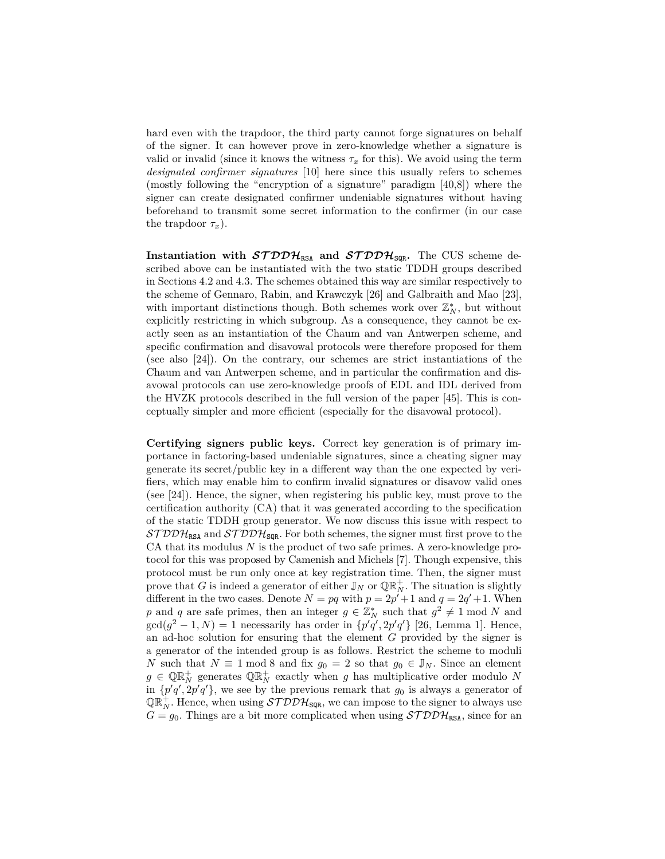hard even with the trapdoor, the third party cannot forge signatures on behalf of the signer. It can however prove in zero-knowledge whether a signature is valid or invalid (since it knows the witness  $\tau_x$  for this). We avoid using the term *designated confirmer signatures* [10] here since this usually refers to schemes (mostly following the "encryption of a signature" paradigm [40,8]) where the signer can create designated confirmer undeniable signatures without having beforehand to transmit some secret information to the confirmer (in our case the trapdoor  $\tau_x$ ).

**Instantiation with**  $\mathcal{STDDH}_{\text{RSA}}$  **and**  $\mathcal{STDDH}_{\text{SQR}}$ **. The CUS scheme de**scribed above can be instantiated with the two static TDDH groups described in Sections 4.2 and 4.3. The schemes obtained this way are similar respectively to the scheme of Gennaro, Rabin, and Krawczyk [26] and Galbraith and Mao [23], with important distinctions though. Both schemes work over  $\mathbb{Z}_N^*$ , but without explicitly restricting in which subgroup. As a consequence, they cannot be exactly seen as an instantiation of the Chaum and van Antwerpen scheme, and specific confirmation and disavowal protocols were therefore proposed for them (see also [24]). On the contrary, our schemes are strict instantiations of the Chaum and van Antwerpen scheme, and in particular the confirmation and disavowal protocols can use zero-knowledge proofs of EDL and IDL derived from the HVZK protocols described in the full version of the paper [45]. This is conceptually simpler and more efficient (especially for the disavowal protocol).

**Certifying signers public keys.** Correct key generation is of primary importance in factoring-based undeniable signatures, since a cheating signer may generate its secret/public key in a different way than the one expected by verifiers, which may enable him to confirm invalid signatures or disavow valid ones (see [24]). Hence, the signer, when registering his public key, must prove to the certification authority (CA) that it was generated according to the specification of the static TDDH group generator. We now discuss this issue with respect to  $STDDH_{\text{RSA}}$  and  $STDDH_{\text{SQR}}$ . For both schemes, the signer must first prove to the CA that its modulus *N* is the product of two safe primes. A zero-knowledge protocol for this was proposed by Camenish and Michels [7]. Though expensive, this protocol must be run only once at key registration time. Then, the signer must prove that *G* is indeed a generator of either  $\mathbb{J}_N$  or  $\mathbb{QR}_N^+$ . The situation is slightly different in the two cases. Denote  $N = pq$  with  $p = 2p' + 1$  and  $q = 2q' + 1$ . When *p* and *q* are safe primes, then an integer  $g \in \mathbb{Z}_N^*$  such that  $g^2 \neq 1 \mod N$  and  $\gcd(g^2-1,N) = 1$  necessarily has order in  $\{p'q', 2p'q'\}$  [26, Lemma 1]. Hence, an ad-hoc solution for ensuring that the element *G* provided by the signer is a generator of the intended group is as follows. Restrict the scheme to moduli *N* such that  $N \equiv 1 \mod 8$  and fix  $g_0 = 2$  so that  $g_0 \in \mathbb{J}_N$ . Since an element  $g \in \mathbb{QR}_{N}^{+}$  generates  $\mathbb{QR}_{N}^{+}$  exactly when *g* has multiplicative order modulo *N* in  $\{p'q', 2p'q'\}$ , we see by the previous remark that  $g_0$  is always a generator of  $\mathbb{QR}_N^+$ . Hence, when using  $\mathcal{STDDH}_{\text{SQR}}$ , we can impose to the signer to always use  $G = g_0$ . Things are a bit more complicated when using  $\mathcal{STDDH}_{\text{RSA}}$ , since for an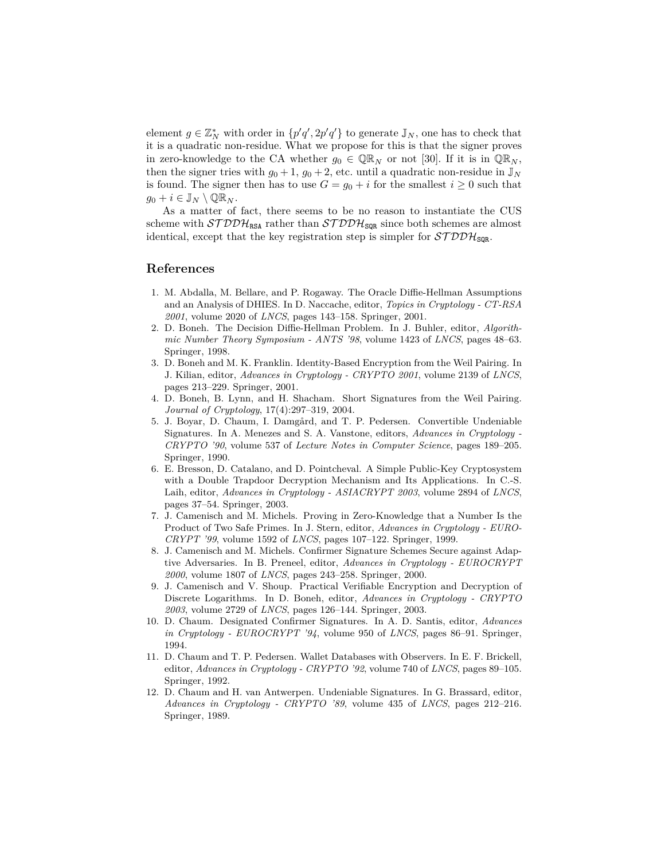element  $g \in \mathbb{Z}_N^*$  with order in  $\{p'q', 2p'q'\}$  to generate  $\mathbb{J}_N$ , one has to check that it is a quadratic non-residue. What we propose for this is that the signer proves in zero-knowledge to the CA whether  $g_0 \in \mathbb{Q}\mathbb{R}_N$  or not [30]. If it is in  $\mathbb{Q}\mathbb{R}_N$ , then the signer tries with  $g_0 + 1$ ,  $g_0 + 2$ , etc. until a quadratic non-residue in  $\mathbb{J}_N$ is found. The signer then has to use  $G = g_0 + i$  for the smallest  $i \geq 0$  such that  $g_0 + i \in \mathbb{J}_N \setminus \mathbb{QR}_N$ .

As a matter of fact, there seems to be no reason to instantiate the CUS scheme with  $\mathcal{STDDH}_{\texttt{RSA}}$  rather than  $\mathcal{STDDH}_{\texttt{SQR}}$  since both schemes are almost identical, except that the key registration step is simpler for  $\mathcal{STDDH}_{\text{SQL}}$ .

# **References**

- 1. M. Abdalla, M. Bellare, and P. Rogaway. The Oracle Diffie-Hellman Assumptions and an Analysis of DHIES. In D. Naccache, editor, *Topics in Cryptology - CT-RSA 2001*, volume 2020 of *LNCS*, pages 143–158. Springer, 2001.
- 2. D. Boneh. The Decision Diffie-Hellman Problem. In J. Buhler, editor, *Algorithmic Number Theory Symposium - ANTS '98*, volume 1423 of *LNCS*, pages 48–63. Springer, 1998.
- 3. D. Boneh and M. K. Franklin. Identity-Based Encryption from the Weil Pairing. In J. Kilian, editor, *Advances in Cryptology - CRYPTO 2001*, volume 2139 of *LNCS*, pages 213–229. Springer, 2001.
- 4. D. Boneh, B. Lynn, and H. Shacham. Short Signatures from the Weil Pairing. *Journal of Cryptology*, 17(4):297–319, 2004.
- 5. J. Boyar, D. Chaum, I. Damgård, and T. P. Pedersen. Convertible Undeniable Signatures. In A. Menezes and S. A. Vanstone, editors, *Advances in Cryptology - CRYPTO '90*, volume 537 of *Lecture Notes in Computer Science*, pages 189–205. Springer, 1990.
- 6. E. Bresson, D. Catalano, and D. Pointcheval. A Simple Public-Key Cryptosystem with a Double Trapdoor Decryption Mechanism and Its Applications. In C.-S. Laih, editor, *Advances in Cryptology - ASIACRYPT 2003*, volume 2894 of *LNCS*, pages 37–54. Springer, 2003.
- 7. J. Camenisch and M. Michels. Proving in Zero-Knowledge that a Number Is the Product of Two Safe Primes. In J. Stern, editor, *Advances in Cryptology - EURO-CRYPT '99*, volume 1592 of *LNCS*, pages 107–122. Springer, 1999.
- 8. J. Camenisch and M. Michels. Confirmer Signature Schemes Secure against Adaptive Adversaries. In B. Preneel, editor, *Advances in Cryptology - EUROCRYPT 2000*, volume 1807 of *LNCS*, pages 243–258. Springer, 2000.
- 9. J. Camenisch and V. Shoup. Practical Verifiable Encryption and Decryption of Discrete Logarithms. In D. Boneh, editor, *Advances in Cryptology - CRYPTO 2003*, volume 2729 of *LNCS*, pages 126–144. Springer, 2003.
- 10. D. Chaum. Designated Confirmer Signatures. In A. D. Santis, editor, *Advances in Cryptology - EUROCRYPT '94*, volume 950 of *LNCS*, pages 86–91. Springer, 1994.
- 11. D. Chaum and T. P. Pedersen. Wallet Databases with Observers. In E. F. Brickell, editor, *Advances in Cryptology - CRYPTO '92*, volume 740 of *LNCS*, pages 89–105. Springer, 1992.
- 12. D. Chaum and H. van Antwerpen. Undeniable Signatures. In G. Brassard, editor, *Advances in Cryptology - CRYPTO '89*, volume 435 of *LNCS*, pages 212–216. Springer, 1989.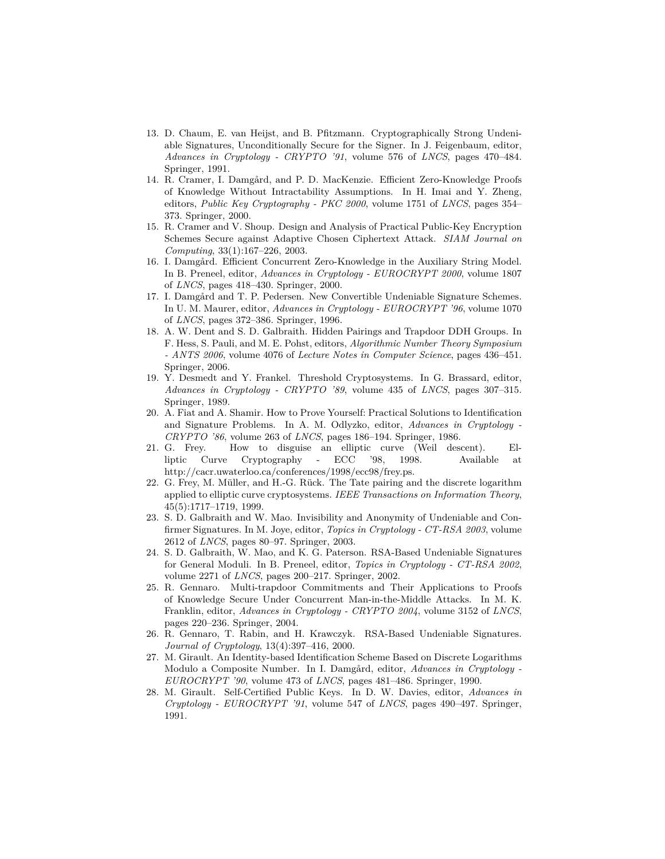- 13. D. Chaum, E. van Heijst, and B. Pfitzmann. Cryptographically Strong Undeniable Signatures, Unconditionally Secure for the Signer. In J. Feigenbaum, editor, *Advances in Cryptology - CRYPTO '91*, volume 576 of *LNCS*, pages 470–484. Springer, 1991.
- 14. R. Cramer, I. Damgård, and P. D. MacKenzie. Efficient Zero-Knowledge Proofs of Knowledge Without Intractability Assumptions. In H. Imai and Y. Zheng, editors, *Public Key Cryptography - PKC 2000*, volume 1751 of *LNCS*, pages 354– 373. Springer, 2000.
- 15. R. Cramer and V. Shoup. Design and Analysis of Practical Public-Key Encryption Schemes Secure against Adaptive Chosen Ciphertext Attack. *SIAM Journal on Computing*, 33(1):167–226, 2003.
- 16. I. Damgård. Efficient Concurrent Zero-Knowledge in the Auxiliary String Model. In B. Preneel, editor, *Advances in Cryptology - EUROCRYPT 2000*, volume 1807 of *LNCS*, pages 418–430. Springer, 2000.
- 17. I. Damgård and T. P. Pedersen. New Convertible Undeniable Signature Schemes. In U. M. Maurer, editor, *Advances in Cryptology - EUROCRYPT '96*, volume 1070 of *LNCS*, pages 372–386. Springer, 1996.
- 18. A. W. Dent and S. D. Galbraith. Hidden Pairings and Trapdoor DDH Groups. In F. Hess, S. Pauli, and M. E. Pohst, editors, *Algorithmic Number Theory Symposium - ANTS 2006*, volume 4076 of *Lecture Notes in Computer Science*, pages 436–451. Springer, 2006.
- 19. Y. Desmedt and Y. Frankel. Threshold Cryptosystems. In G. Brassard, editor, *Advances in Cryptology - CRYPTO '89*, volume 435 of *LNCS*, pages 307–315. Springer, 1989.
- 20. A. Fiat and A. Shamir. How to Prove Yourself: Practical Solutions to Identification and Signature Problems. In A. M. Odlyzko, editor, *Advances in Cryptology - CRYPTO '86*, volume 263 of *LNCS*, pages 186–194. Springer, 1986.
- 21. G. Frey. How to disguise an elliptic curve (Weil descent). Elliptic Curve Cryptography - ECC '98, 1998. Available at http://cacr.uwaterloo.ca/conferences/1998/ecc98/frey.ps.
- 22. G. Frey, M. Müller, and H.-G. Rück. The Tate pairing and the discrete logarithm applied to elliptic curve cryptosystems. *IEEE Transactions on Information Theory*, 45(5):1717–1719, 1999.
- 23. S. D. Galbraith and W. Mao. Invisibility and Anonymity of Undeniable and Confirmer Signatures. In M. Joye, editor, *Topics in Cryptology - CT-RSA 2003*, volume 2612 of *LNCS*, pages 80–97. Springer, 2003.
- 24. S. D. Galbraith, W. Mao, and K. G. Paterson. RSA-Based Undeniable Signatures for General Moduli. In B. Preneel, editor, *Topics in Cryptology - CT-RSA 2002*, volume 2271 of *LNCS*, pages 200–217. Springer, 2002.
- 25. R. Gennaro. Multi-trapdoor Commitments and Their Applications to Proofs of Knowledge Secure Under Concurrent Man-in-the-Middle Attacks. In M. K. Franklin, editor, *Advances in Cryptology - CRYPTO 2004*, volume 3152 of *LNCS*, pages 220–236. Springer, 2004.
- 26. R. Gennaro, T. Rabin, and H. Krawczyk. RSA-Based Undeniable Signatures. *Journal of Cryptology*, 13(4):397–416, 2000.
- 27. M. Girault. An Identity-based Identification Scheme Based on Discrete Logarithms Modulo a Composite Number. In I. Damgård, editor, *Advances in Cryptology - EUROCRYPT '90*, volume 473 of *LNCS*, pages 481–486. Springer, 1990.
- 28. M. Girault. Self-Certified Public Keys. In D. W. Davies, editor, *Advances in Cryptology - EUROCRYPT '91*, volume 547 of *LNCS*, pages 490–497. Springer, 1991.